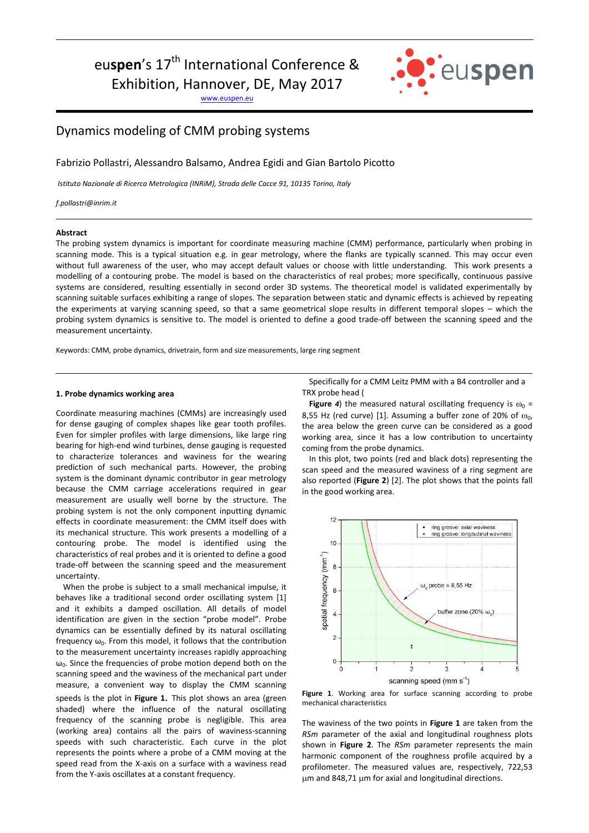eu**spen**'s 17<sup>th</sup> International Conference &

Exhibition, Hannover, DE, May 2017

[www.euspen.eu](http://www.euspen.eu/)



# Dynamics modeling of CMM probing systems

Fabrizio Pollastri, Alessandro Balsamo, Andrea Egidi and Gian Bartolo Picotto

*Istituto Nazionale di Ricerca Metrologica (INRiM), Strada delle Cacce 91, 10135 Torino, Italy*

*f.pollastri@inrim.it*

### **Abstract**

The probing system dynamics is important for coordinate measuring machine (CMM) performance, particularly when probing in scanning mode. This is a typical situation e.g. in gear metrology, where the flanks are typically scanned. This may occur even without full awareness of the user, who may accept default values or choose with little understanding. This work presents a modelling of a contouring probe. The model is based on the characteristics of real probes; more specifically, continuous passive systems are considered, resulting essentially in second order 3D systems. The theoretical model is validated experimentally by scanning suitable surfaces exhibiting a range of slopes. The separation between static and dynamic effects is achieved by repeating the experiments at varying scanning speed, so that a same geometrical slope results in different temporal slopes – which the probing system dynamics is sensitive to. The model is oriented to define a good trade-off between the scanning speed and the measurement uncertainty.

Keywords: CMM, probe dynamics, drivetrain, form and size measurements, large ring segment

## **1. Probe dynamics working area**

Coordinate measuring machines (CMMs) are increasingly used for dense gauging of complex shapes like gear tooth profiles. Even for simpler profiles with large dimensions, like large ring bearing for high-end wind turbines, dense gauging is requested to characterize tolerances and waviness for the wearing prediction of such mechanical parts. However, the probing system is the dominant dynamic contributor in gear metrology because the CMM carriage accelerations required in gear measurement are usually well borne by the structure. The probing system is not the only component inputting dynamic effects in coordinate measurement: the CMM itself does with its mechanical structure. This work presents a modelling of a contouring probe. The model is identified using the characteristics of real probes and it is oriented to define a good trade-off between the scanning speed and the measurement uncertainty.

When the probe is subject to a small mechanical impulse, it behaves like a traditional second order oscillating system [1] and it exhibits a damped oscillation. All details of model identification are given in the section "probe model". Probe dynamics can be essentially defined by its natural oscillating frequency  $\omega_0$ . From this model, it follows that the contribution to the measurement uncertainty increases rapidly approaching  $\omega_0$ . Since the frequencies of probe motion depend both on the scanning speed and the waviness of the mechanical part under measure, a convenient way to display the CMM scanning speeds is the plot in **[Figure 1](#page-0-0)**. This plot shows an area (green shaded) where the influence of the natural oscillating frequency of the scanning probe is negligible. This area (working area) contains all the pairs of waviness-scanning speeds with such characteristic. Each curve in the plot represents the points where a probe of a CMM moving at the speed read from the X-axis on a surface with a waviness read from the Y-axis oscillates at a constant frequency.

Specifically for a CMM Leitz [PMM with a B4 controller and a](#page-1-0)  TRX probe head (

**[Figure](#page-1-0) 4)** the measured natural oscillating frequency is  $\omega_0$  = 8,55 Hz (red curve) [1]. Assuming a buffer zone of 20% of  $\omega_{0}$ , the area below the green curve can be considered as a good working area, since it has a low contribution to uncertainty coming from the probe dynamics.

In this plot, two points (red and black dots) representing the scan speed and the measured waviness of a ring segment are also reported (**[Figure 2](#page-1-1)**) [2]. The plot shows that the points fall in the good working area.



<span id="page-0-0"></span>**Figure 1**. Working area for surface scanning according to probe mechanical characteristics

The waviness of the two points in **[Figure 1](#page-0-0)** are taken from the *RSm* parameter of the axial and longitudinal roughness plots shown in **[Figure 2](#page-1-1)**. The *RSm* parameter represents the main harmonic component of the roughness profile acquired by a profilometer. The measured values are, respectively, 722,53 um and 848,71 um for axial and longitudinal directions.